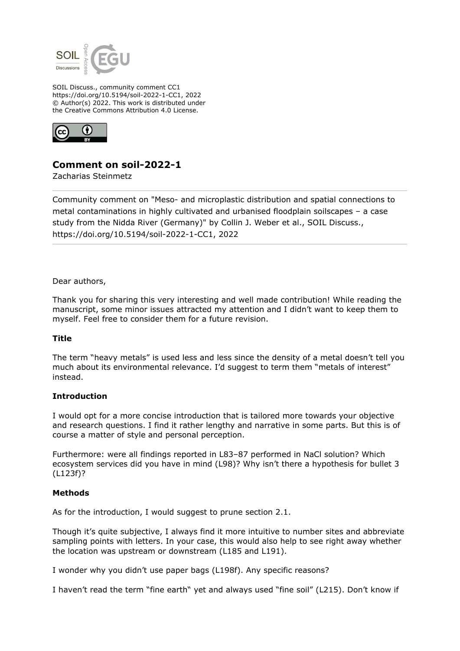

SOIL Discuss., community comment CC1 https://doi.org/10.5194/soil-2022-1-CC1, 2022 © Author(s) 2022. This work is distributed under the Creative Commons Attribution 4.0 License.



# **Comment on soil-2022-1**

Zacharias Steinmetz

Community comment on "Meso- and microplastic distribution and spatial connections to metal contaminations in highly cultivated and urbanised floodplain soilscapes – a case study from the Nidda River (Germany)" by Collin J. Weber et al., SOIL Discuss., https://doi.org/10.5194/soil-2022-1-CC1, 2022

Dear authors,

Thank you for sharing this very interesting and well made contribution! While reading the manuscript, some minor issues attracted my attention and I didn't want to keep them to myself. Feel free to consider them for a future revision.

#### **Title**

The term "heavy metals" is used less and less since the density of a metal doesn't tell you much about its environmental relevance. I'd suggest to term them "metals of interest" instead.

#### **Introduction**

I would opt for a more concise introduction that is tailored more towards your objective and research questions. I find it rather lengthy and narrative in some parts. But this is of course a matter of style and personal perception.

Furthermore: were all findings reported in L83–87 performed in NaCl solution? Which ecosystem services did you have in mind (L98)? Why isn't there a hypothesis for bullet 3 (L123f)?

#### **Methods**

As for the introduction, I would suggest to prune section 2.1.

Though it's quite subjective, I always find it more intuitive to number sites and abbreviate sampling points with letters. In your case, this would also help to see right away whether the location was upstream or downstream (L185 and L191).

I wonder why you didn't use paper bags (L198f). Any specific reasons?

I haven't read the term "fine earth" yet and always used "fine soil" (L215). Don't know if